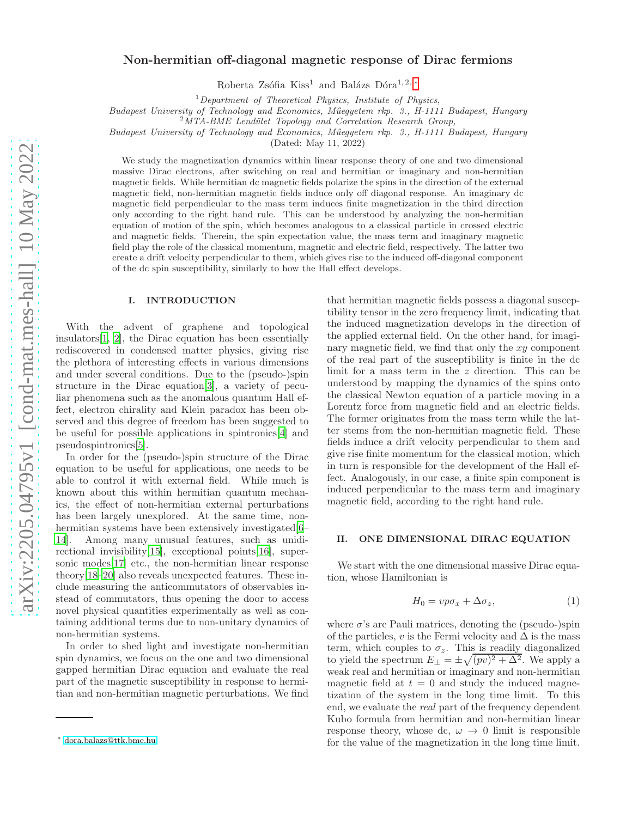# Non-hermitian off-diagonal magnetic response of Dirac fermions

Roberta Zsófia Kiss<sup>1</sup> and Balázs Dóra<sup>1, 2, [∗](#page-0-0)</sup>

 $1$  Department of Theoretical Physics, Institute of Physics,

Budapest University of Technology and Economics, Műegyetem rkp. 3., H-1111 Budapest, Hungary

 $2<sup>2</sup>MTA-BME$  Lendület Topology and Correlation Research Group,

Budapest University of Technology and Economics, Műegyetem rkp. 3., H-1111 Budapest, Hungary

(Dated: May 11, 2022)

We study the magnetization dynamics within linear response theory of one and two dimensional massive Dirac electrons, after switching on real and hermitian or imaginary and non-hermitian magnetic fields. While hermitian dc magnetic fields polarize the spins in the direction of the external magnetic field, non-hermitian magnetic fields induce only off diagonal response. An imaginary dc magnetic field perpendicular to the mass term induces finite magnetization in the third direction only according to the right hand rule. This can be understood by analyzing the non-hermitian equation of motion of the spin, which becomes analogous to a classical particle in crossed electric and magnetic fields. Therein, the spin expectation value, the mass term and imaginary magnetic field play the role of the classical momentum, magnetic and electric field, respectively. The latter two create a drift velocity perpendicular to them, which gives rise to the induced off-diagonal component of the dc spin susceptibility, similarly to how the Hall effect develops.

## I. INTRODUCTION

With the advent of graphene and topological insulators[\[1,](#page-4-0) [2\]](#page-4-1), the Dirac equation has been essentially rediscovered in condensed matter physics, giving rise the plethora of interesting effects in various dimensions and under several conditions. Due to the (pseudo-)spin structure in the Dirac equation[\[3\]](#page-4-2), a variety of peculiar phenomena such as the anomalous quantum Hall effect, electron chirality and Klein paradox has been observed and this degree of freedom has been suggested to be useful for possible applications in spintronics[\[4\]](#page-4-3) and pseudospintronics[\[5\]](#page-4-4).

In order for the (pseudo-)spin structure of the Dirac equation to be useful for applications, one needs to be able to control it with external field. While much is known about this within hermitian quantum mechanics, the effect of non-hermitian external perturbations has been largely unexplored. At the same time, nonhermitian systems have been extensively investigated  $[6 [6-$ [14\]](#page-4-6). Among many unusual features, such as unidirectional invisibility[\[15](#page-4-7)], exceptional points[\[16\]](#page-4-8), supersonic modes[\[17\]](#page-4-9) etc., the non-hermitian linear response theory[\[18](#page-4-10)[–20\]](#page-4-11) also reveals unexpected features. These include measuring the anticommutators of observables instead of commutators, thus opening the door to access novel physical quantities experimentally as well as containing additional terms due to non-unitary dynamics of non-hermitian systems.

In order to shed light and investigate non-hermitian spin dynamics, we focus on the one and two dimensional gapped hermitian Dirac equation and evaluate the real part of the magnetic susceptibility in response to hermitian and non-hermitian magnetic perturbations. We find

that hermitian magnetic fields possess a diagonal susceptibility tensor in the zero frequency limit, indicating that the induced magnetization develops in the direction of the applied external field. On the other hand, for imaginary magnetic field, we find that only the xy component of the real part of the susceptibility is finite in the dc limit for a mass term in the z direction. This can be understood by mapping the dynamics of the spins onto the classical Newton equation of a particle moving in a Lorentz force from magnetic field and an electric fields. The former originates from the mass term while the latter stems from the non-hermitian magnetic field. These fields induce a drift velocity perpendicular to them and give rise finite momentum for the classical motion, which in turn is responsible for the development of the Hall effect. Analogously, in our case, a finite spin component is induced perpendicular to the mass term and imaginary magnetic field, according to the right hand rule.

### II. ONE DIMENSIONAL DIRAC EQUATION

We start with the one dimensional massive Dirac equation, whose Hamiltonian is

$$
H_0 = vp\sigma_x + \Delta\sigma_z,\tag{1}
$$

where  $\sigma$ 's are Pauli matrices, denoting the (pseudo-)spin of the particles, v is the Fermi velocity and  $\Delta$  is the mass term, which couples to  $\sigma_z$ . This is readily diagonalized to yield the spectrum  $E_{\pm} = \pm \sqrt{(pv)^2 + \Delta^2}$ . We apply a weak real and hermitian or imaginary and non-hermitian magnetic field at  $t = 0$  and study the induced magnetization of the system in the long time limit. To this end, we evaluate the real part of the frequency dependent Kubo formula from hermitian and non-hermitian linear response theory, whose dc,  $\omega \rightarrow 0$  limit is responsible for the value of the magnetization in the long time limit.

<span id="page-0-0"></span><sup>∗</sup> [dora.balazs@ttk.bme.hu](mailto:dora.balazs@ttk.bme.hu)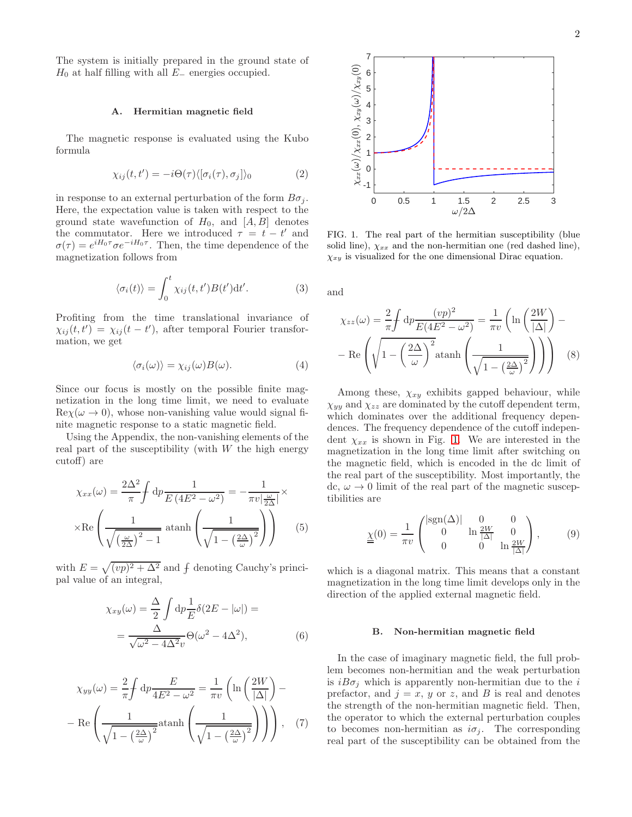The system is initially prepared in the ground state of  $H_0$  at half filling with all  $E_-\$  energies occupied.

### A. Hermitian magnetic field

The magnetic response is evaluated using the Kubo formula

<span id="page-1-2"></span>
$$
\chi_{ij}(t, t') = -i\Theta(\tau)\langle[\sigma_i(\tau), \sigma_j]\rangle_0 \tag{2}
$$

in response to an external perturbation of the form  $B\sigma_i$ . Here, the expectation value is taken with respect to the ground state wavefunction of  $H_0$ , and  $[A, B]$  denotes the commutator. Here we introduced  $\tau = t - t'$  and  $\sigma(\tau) = e^{iH_0\tau} \sigma e^{-iH_0\tau}$ . Then, the time dependence of the magnetization follows from

$$
\langle \sigma_i(t) \rangle = \int_0^t \chi_{ij}(t, t') B(t') dt'. \tag{3}
$$

Profiting from the time translational invariance of  $\chi_{ij}(t,t') = \chi_{ij}(t-t')$ , after temporal Fourier transformation, we get

$$
\langle \sigma_i(\omega) \rangle = \chi_{ij}(\omega) B(\omega). \tag{4}
$$

Since our focus is mostly on the possible finite magnetization in the long time limit, we need to evaluate  $\text{Re}\chi(\omega \to 0)$ , whose non-vanishing value would signal finite magnetic response to a static magnetic field.

Using the Appendix, the non-vanishing elements of the real part of the susceptibility (with  $W$  the high energy cutoff) are

$$
\chi_{xx}(\omega) = \frac{2\Delta^2}{\pi} \int dp \frac{1}{E(4E^2 - \omega^2)} = -\frac{1}{\pi v \left| \frac{\omega}{2\Delta} \right|} \times
$$

$$
\times \text{Re}\left(\frac{1}{\sqrt{\left(\frac{\omega}{2\Delta}\right)^2 - 1}} \operatorname{atanh}\left(\frac{1}{\sqrt{1 - \left(\frac{2\Delta}{\omega}\right)^2}}\right)\right) \tag{5}
$$

with  $E = \sqrt{(vp)^2 + \Delta^2}$  and  $\oint$  denoting Cauchy's principal value of an integral,

$$
\chi_{xy}(\omega) = \frac{\Delta}{2} \int \mathrm{d}p \frac{1}{E} \delta(2E - |\omega|) =
$$

$$
= \frac{\Delta}{\sqrt{\omega^2 - 4\Delta^2 v}} \Theta(\omega^2 - 4\Delta^2), \tag{6}
$$

$$
\chi_{yy}(\omega) = \frac{2}{\pi} \int dp \frac{E}{4E^2 - \omega^2} = \frac{1}{\pi v} \left( \ln \left( \frac{2W}{|\Delta|} \right) - \right)
$$

$$
- \operatorname{Re} \left( \frac{1}{\sqrt{1 - \left( \frac{2\Delta}{\omega} \right)^2}} \operatorname{atanh} \left( \frac{1}{\sqrt{1 - \left( \frac{2\Delta}{\omega} \right)^2}} \right) \right), \quad (7)
$$



<span id="page-1-0"></span>FIG. 1. The real part of the hermitian susceptibility (blue solid line),  $\chi_{xx}$  and the non-hermitian one (red dashed line),  $\chi_{xy}$  is visualized for the one dimensional Dirac equation.

and

$$
\chi_{zz}(\omega) = \frac{2}{\pi} \int dp \frac{(vp)^2}{E(4E^2 - \omega^2)} = \frac{1}{\pi v} \left( \ln \left( \frac{2W}{|\Delta|} \right) - \right)
$$

$$
- \operatorname{Re} \left( \sqrt{1 - \left( \frac{2\Delta}{\omega} \right)^2} \operatorname{atanh} \left( \frac{1}{\sqrt{1 - \left( \frac{2\Delta}{\omega} \right)^2}} \right) \right) \tag{8}
$$

<span id="page-1-1"></span>Among these,  $\chi_{xy}$  exhibits gapped behaviour, while  $\chi_{yy}$  and  $\chi_{zz}$  are dominated by the cutoff dependent term, which dominates over the additional frequency dependences. The frequency dependence of the cutoff independent  $\chi_{xx}$  is shown in Fig. [1.](#page-1-0) We are interested in the magnetization in the long time limit after switching on the magnetic field, which is encoded in the dc limit of the real part of the susceptibility. Most importantly, the dc,  $\omega \rightarrow 0$  limit of the real part of the magnetic susceptibilities are

$$
\underline{\underline{\chi}}(0) = \frac{1}{\pi v} \begin{pmatrix} |\text{sgn}(\Delta)| & 0 & 0\\ 0 & \ln \frac{2W}{|\Delta|} & 0\\ 0 & 0 & \ln \frac{2W}{|\Delta|} \end{pmatrix}, \qquad (9)
$$

which is a diagonal matrix. This means that a constant magnetization in the long time limit develops only in the direction of the applied external magnetic field.

#### B. Non-hermitian magnetic field

In the case of imaginary magnetic field, the full problem becomes non-hermitian and the weak perturbation is  $iB\sigma_j$  which is apparently non-hermitian due to the i prefactor, and  $j = x$ , y or z, and B is real and denotes the strength of the non-hermitian magnetic field. Then, the operator to which the external perturbation couples to becomes non-hermitian as  $i\sigma_j$ . The corresponding real part of the susceptibility can be obtained from the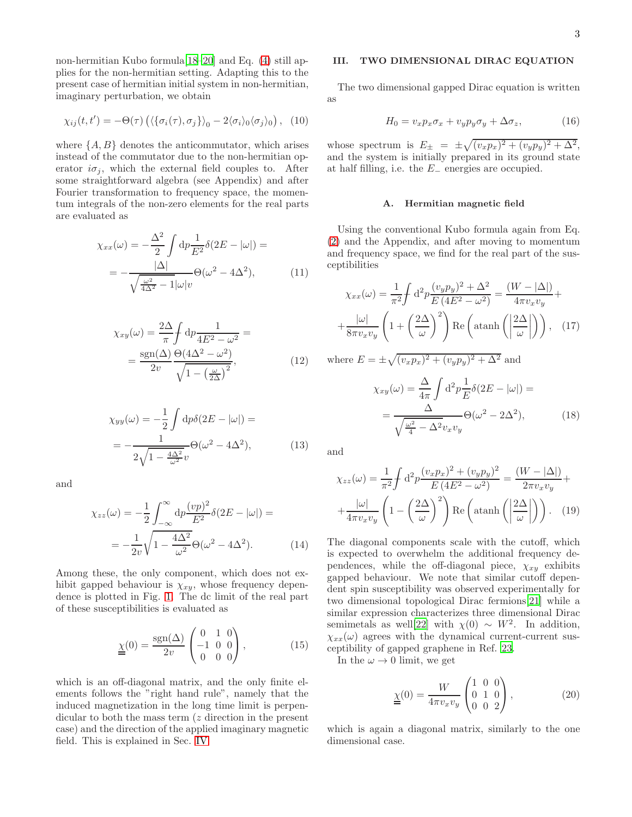non-hermitian Kubo formula[\[18](#page-4-10)[–20\]](#page-4-11) and Eq. [\(4\)](#page-1-1) still applies for the non-hermitian setting. Adapting this to the present case of hermitian initial system in non-hermitian, imaginary perturbation, we obtain

<span id="page-2-0"></span>
$$
\chi_{ij}(t,t') = -\Theta(\tau) \left( \langle \{\sigma_i(\tau), \sigma_j\} \rangle_0 - 2 \langle \sigma_i \rangle_0 \langle \sigma_j \rangle_0 \right), \tag{10}
$$

where  $\{A, B\}$  denotes the anticommutator, which arises instead of the commutator due to the non-hermitian operator  $i\sigma_i$ , which the external field couples to. After some straightforward algebra (see Appendix) and after Fourier transformation to frequency space, the momentum integrals of the non-zero elements for the real parts are evaluated as

$$
\chi_{xx}(\omega) = -\frac{\Delta^2}{2} \int \mathrm{d}p \frac{1}{E^2} \delta(2E - |\omega|) =
$$

$$
= -\frac{|\Delta|}{\sqrt{\frac{\omega^2}{4\Delta^2} - 1} |\omega| v} \Theta(\omega^2 - 4\Delta^2), \tag{11}
$$

$$
\chi_{xy}(\omega) = \frac{2\Delta}{\pi} \int \mathrm{d}p \frac{1}{4E^2 - \omega^2} =
$$

$$
= \frac{\operatorname{sgn}(\Delta)}{2v} \frac{\Theta(4\Delta^2 - \omega^2)}{\sqrt{1 - \left(\frac{\omega}{2\Delta}\right)^2}},\tag{12}
$$

$$
\chi_{yy}(\omega) = -\frac{1}{2} \int \mathrm{d}p \delta(2E - |\omega|) =
$$
  
= 
$$
-\frac{1}{2\sqrt{1 - \frac{4\Delta^2}{\omega^2}}v} \Theta(\omega^2 - 4\Delta^2), \tag{13}
$$

and

$$
\chi_{zz}(\omega) = -\frac{1}{2} \int_{-\infty}^{\infty} dp \frac{(vp)^2}{E^2} \delta(2E - |\omega|) =
$$

$$
= -\frac{1}{2v} \sqrt{1 - \frac{4\Delta^2}{\omega^2}} \Theta(\omega^2 - 4\Delta^2).
$$
(14)

Among these, the only component, which does not exhibit gapped behaviour is  $\chi_{xy}$ , whose frequency dependence is plotted in Fig. [1.](#page-1-0) The dc limit of the real part of these susceptibilities is evaluated as

$$
\underline{\chi}(0) = \frac{\text{sgn}(\Delta)}{2v} \begin{pmatrix} 0 & 1 & 0 \\ -1 & 0 & 0 \\ 0 & 0 & 0 \end{pmatrix}, \tag{15}
$$

which is an off-diagonal matrix, and the only finite elements follows the "right hand rule", namely that the induced magnetization in the long time limit is perpendicular to both the mass term (*z* direction in the present case) and the direction of the applied imaginary magnetic field. This is explained in Sec. [IV.](#page-3-0)

# III. TWO DIMENSIONAL DIRAC EQUATION

The two dimensional gapped Dirac equation is written as

$$
H_0 = v_x p_x \sigma_x + v_y p_y \sigma_y + \Delta \sigma_z, \qquad (16)
$$

whose spectrum is  $E_{\pm} = \pm \sqrt{(v_x p_x)^2 + (v_y p_y)^2 + \Delta^2}$ , and the system is initially prepared in its ground state at half filling, i.e. the  $E_-\$  energies are occupied.

## A. Hermitian magnetic field

Using the conventional Kubo formula again from Eq. [\(2\)](#page-1-2) and the Appendix, and after moving to momentum and frequency space, we find for the real part of the susceptibilities

$$
\chi_{xx}(\omega) = \frac{1}{\pi^2} \int d^2 p \frac{(v_y p_y)^2 + \Delta^2}{E (4E^2 - \omega^2)} = \frac{(W - |\Delta|)}{4\pi v_x v_y} + \frac{|\omega|}{8\pi v_x v_y} \left( 1 + \left(\frac{2\Delta}{\omega}\right)^2 \right) \text{Re}\left(\text{atanh}\left(\left|\frac{2\Delta}{\omega}\right|\right)\right), \quad (17)
$$

where  $E = \pm \sqrt{(v_x p_x)^2 + (v_y p_y)^2 + \Delta^2}$  and

$$
\chi_{xy}(\omega) = \frac{\Delta}{4\pi} \int d^2 p \frac{1}{E} \delta(2E - |\omega|) =
$$

$$
= \frac{\Delta}{\sqrt{\frac{\omega^2}{4} - \Delta^2} v_x v_y} \Theta(\omega^2 - 2\Delta^2), \tag{18}
$$

and

$$
\chi_{zz}(\omega) = \frac{1}{\pi^2} \int d^2 p \frac{(v_x p_x)^2 + (v_y p_y)^2}{E (4E^2 - \omega^2)} = \frac{(W - |\Delta|)}{2\pi v_x v_y} + \frac{|\omega|}{4\pi v_x v_y} \left( 1 - \left(\frac{2\Delta}{\omega}\right)^2 \right) \text{Re}\left(\text{atanh}\left(\left|\frac{2\Delta}{\omega}\right|\right)\right). \quad (19)
$$

The diagonal components scale with the cutoff, which is expected to overwhelm the additional frequency dependences, while the off-diagonal piece,  $\chi_{xy}$  exhibits gapped behaviour. We note that similar cutoff dependent spin susceptibility was observed experimentally for two dimensional topological Dirac fermions[\[21\]](#page-4-12) while a similar expression characterizes three dimensional Dirac semimetals as well[\[22](#page-4-13)] with  $\chi(0) \sim W^2$ . In addition,  $\chi_{xx}(\omega)$  agrees with the dynamical current-current susceptibility of gapped graphene in Ref. [23](#page-4-14).

<span id="page-2-1"></span>In the  $\omega \rightarrow 0$  limit, we get

$$
\underline{\underline{\chi}}(0) = \frac{W}{4\pi v_x v_y} \begin{pmatrix} 1 & 0 & 0 \\ 0 & 1 & 0 \\ 0 & 0 & 2 \end{pmatrix},
$$
 (20)

which is again a diagonal matrix, similarly to the one dimensional case.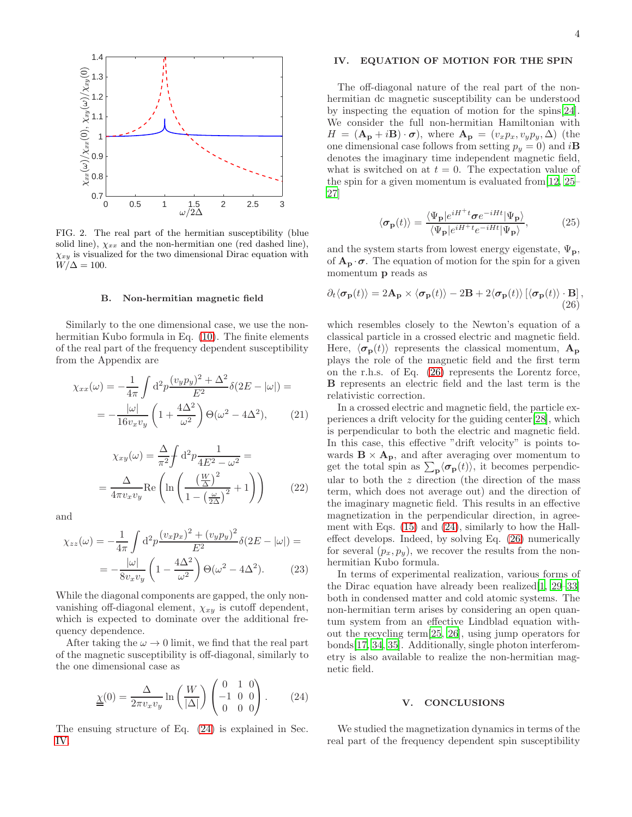

FIG. 2. The real part of the hermitian susceptibility (blue solid line),  $\chi_{xx}$  and the non-hermitian one (red dashed line),  $\chi_{xy}$  is visualized for the two dimensional Dirac equation with  $W/\Delta = 100.$ 

#### B. Non-hermitian magnetic field

Similarly to the one dimensional case, we use the nonhermitian Kubo formula in Eq. [\(10\)](#page-2-0). The finite elements of the real part of the frequency dependent susceptibility from the Appendix are

$$
\chi_{xx}(\omega) = -\frac{1}{4\pi} \int d^2 p \frac{(v_y p_y)^2 + \Delta^2}{E^2} \delta(2E - |\omega|) =
$$

$$
= -\frac{|\omega|}{16v_x v_y} \left(1 + \frac{4\Delta^2}{\omega^2}\right) \Theta(\omega^2 - 4\Delta^2), \qquad (21)
$$

$$
\chi_{xy}(\omega) = \frac{\Delta}{\pi^2} \int d^2 p \frac{1}{4E^2 - \omega^2} =
$$

$$
= \frac{\Delta}{4\pi v_x v_y} \text{Re}\left(\ln\left(\frac{\left(\frac{W}{\Delta}\right)^2}{1 - \left(\frac{\omega}{2\Delta}\right)^2} + 1\right)\right) \tag{22}
$$

and

$$
\chi_{zz}(\omega) = -\frac{1}{4\pi} \int d^2 p \frac{(v_x p_x)^2 + (v_y p_y)^2}{E^2} \delta(2E - |\omega|) =
$$

$$
= -\frac{|\omega|}{8v_x v_y} \left(1 - \frac{4\Delta^2}{\omega^2}\right) \Theta(\omega^2 - 4\Delta^2). \tag{23}
$$

While the diagonal components are gapped, the only nonvanishing off-diagonal element,  $\chi_{xy}$  is cutoff dependent, which is expected to dominate over the additional frequency dependence.

After taking the  $\omega \rightarrow 0$  limit, we find that the real part of the magnetic susceptibility is off-diagonal, similarly to the one dimensional case as

$$
\underline{\underline{\chi}}(0) = \frac{\Delta}{2\pi v_x v_y} \ln\left(\frac{W}{|\Delta|}\right) \begin{pmatrix} 0 & 1 & 0 \\ -1 & 0 & 0 \\ 0 & 0 & 0 \end{pmatrix} . \tag{24}
$$

The ensuing structure of Eq. [\(24\)](#page-3-1) is explained in Sec. [IV.](#page-3-0)

# <span id="page-3-0"></span>IV. EQUATION OF MOTION FOR THE SPIN

The off-diagonal nature of the real part of the nonhermitian dc magnetic susceptibility can be understood by inspecting the equation of motion for the spins[\[24\]](#page-4-15). We consider the full non-hermitian Hamiltonian with  $H = (\mathbf{A}_{\mathbf{p}} + i\mathbf{B}) \cdot \boldsymbol{\sigma}$ , where  $\mathbf{A}_{\mathbf{p}} = (v_x p_x, v_y p_y, \Delta)$  (the one dimensional case follows from setting  $p_y = 0$ ) and  $i\mathbf{B}$ denotes the imaginary time independent magnetic field, what is switched on at  $t = 0$ . The expectation value of the spin for a given momentum is evaluated from  $[12, 25]$  $[12, 25]$  $[12, 25]$ [27\]](#page-5-1)

<span id="page-3-2"></span>
$$
\langle \sigma_{\mathbf{p}}(t) \rangle = \frac{\langle \Psi_{\mathbf{p}} | e^{iH^{+}t} \sigma e^{-iHt} | \Psi_{\mathbf{p}} \rangle}{\langle \Psi_{\mathbf{p}} | e^{iH^{+}t} e^{-iHt} | \Psi_{\mathbf{p}} \rangle},\tag{25}
$$

and the system starts from lowest energy eigenstate,  $\Psi_p$ , of  $A_p \cdot \sigma$ . The equation of motion for the spin for a given momentum p reads as

$$
\partial_t \langle \boldsymbol{\sigma}_{\mathbf{p}}(t) \rangle = 2\mathbf{A}_{\mathbf{p}} \times \langle \boldsymbol{\sigma}_{\mathbf{p}}(t) \rangle - 2\mathbf{B} + 2 \langle \boldsymbol{\sigma}_{\mathbf{p}}(t) \rangle \left[ \langle \boldsymbol{\sigma}_{\mathbf{p}}(t) \rangle \cdot \mathbf{B} \right],
$$
\n(26)

which resembles closely to the Newton's equation of a classical particle in a crossed electric and magnetic field. Here,  $\langle \sigma_{\bf p}(t) \rangle$  represents the classical momentum,  $A_{\bf p}$ plays the role of the magnetic field and the first term on the r.h.s. of Eq. [\(26\)](#page-3-2) represents the Lorentz force, B represents an electric field and the last term is the relativistic correction.

In a crossed electric and magnetic field, the particle experiences a drift velocity for the guiding center[\[28\]](#page-5-2), which is perpendicular to both the electric and magnetic field. In this case, this effective "drift velocity" is points towards  $\mathbf{B} \times \mathbf{A}_{\mathbf{p}}$ , and after averaging over momentum to get the total spin as  $\sum_{\mathbf{p}} \langle \sigma_{\mathbf{p}}(t) \rangle$ , it becomes perpendicular to both the  $z$  direction (the direction of the mass term, which does not average out) and the direction of the imaginary magnetic field. This results in an effective magnetization in the perpendicular direction, in agreement with Eqs. [\(15\)](#page-2-1) and [\(24\)](#page-3-1), similarly to how the Halleffect develops. Indeed, by solving Eq. [\(26\)](#page-3-2) numerically for several  $(p_x, p_y)$ , we recover the results from the nonhermitian Kubo formula.

In terms of experimental realization, various forms of the Dirac equation have already been realized[\[1,](#page-4-0) [29](#page-5-3)[–33\]](#page-5-4) both in condensed matter and cold atomic systems. The non-hermitian term arises by considering an open quantum system from an effective Lindblad equation without the recycling term[\[25,](#page-5-0) [26](#page-5-5)], using jump operators for bonds[\[17,](#page-4-9) [34,](#page-5-6) [35\]](#page-5-7). Additionally, single photon interferometry is also available to realize the non-hermitian magnetic field.

### V. CONCLUSIONS

<span id="page-3-1"></span>We studied the magnetization dynamics in terms of the real part of the frequency dependent spin susceptibility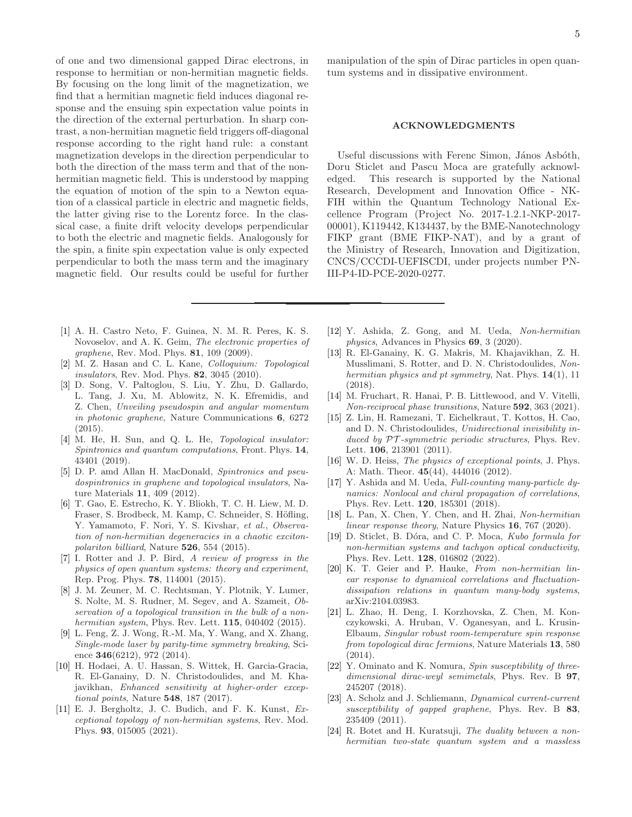of one and two dimensional gapped Dirac electrons, in response to hermitian or non-hermitian magnetic fields. By focusing on the long limit of the magnetization, we find that a hermitian magnetic field induces diagonal response and the ensuing spin expectation value points in the direction of the external perturbation. In sharp contrast, a non-hermitian magnetic field triggers off-diagonal response according to the right hand rule: a constant magnetization develops in the direction perpendicular to both the direction of the mass term and that of the nonhermitian magnetic field. This is understood by mapping the equation of motion of the spin to a Newton equation of a classical particle in electric and magnetic fields, the latter giving rise to the Lorentz force. In the classical case, a finite drift velocity develops perpendicular to both the electric and magnetic fields. Analogously for the spin, a finite spin expectation value is only expected perpendicular to both the mass term and the imaginary magnetic field. Our results could be useful for further

- <span id="page-4-0"></span>[1] A. H. Castro Neto, F. Guinea, N. M. R. Peres, K. S. Novoselov, and A. K. Geim, The electronic properties of graphene, Rev. Mod. Phys. **81**, 109 (2009).
- <span id="page-4-1"></span>[2] M. Z. Hasan and C. L. Kane, Colloquium: Topological insulators, Rev. Mod. Phys. **82**, 3045 (2010).
- <span id="page-4-2"></span>[3] D. Song, V. Paltoglou, S. Liu, Y. Zhu, D. Gallardo, L. Tang, J. Xu, M. Ablowitz, N. K. Efremidis, and Z. Chen, Unveiling pseudospin and angular momentum in photonic graphene, Nature Communications 6, 6272  $(2015)$ .
- <span id="page-4-3"></span>[4] M. He, H. Sun, and Q. L. He, Topological insulator: Spintronics and quantum computations, Front. Phys. 14, 43401 (2019).
- <span id="page-4-4"></span>[5] D. P. amd Allan H. MacDonald, Spintronics and pseudospintronics in graphene and topological insulators, Nature Materials 11, 409 (2012).
- <span id="page-4-5"></span>[6] T. Gao, E. Estrecho, K. Y. Bliokh, T. C. H. Liew, M. D. Fraser, S. Brodbeck, M. Kamp, C. Schneider, S. Höfling, Y. Yamamoto, F. Nori, Y. S. Kivshar, et al., Observation of non-hermitian degeneracies in a chaotic excitonpolariton billiard, Nature 526, 554 (2015).
- [7] I. Rotter and J. P. Bird, A review of progress in the physics of open quantum systems: theory and experiment, Rep. Prog. Phys. 78, 114001 (2015).
- [8] J. M. Zeuner, M. C. Rechtsman, Y. Plotnik, Y. Lumer, S. Nolte, M. S. Rudner, M. Segev, and A. Szameit, Observation of a topological transition in the bulk of a nonhermitian system, Phys. Rev. Lett. **115**, 040402 (2015).
- [9] L. Feng, Z. J. Wong, R.-M. Ma, Y. Wang, and X. Zhang, Single-mode laser by parity-time symmetry breaking, Science **346**(6212), 972 (2014).
- [10] H. Hodaei, A. U. Hassan, S. Wittek, H. Garcia-Gracia, R. El-Ganainy, D. N. Christodoulides, and M. Khajavikhan, Enhanced sensitivity at higher-order exceptional points, Nature 548, 187 (2017).
- [11] E. J. Bergholtz, J. C. Budich, and F. K. Kunst, Exceptional topology of non-hermitian systems, Rev. Mod. Phys. 93, 015005 (2021).

manipulation of the spin of Dirac particles in open quantum systems and in dissipative environment.

#### ACKNOWLEDGMENTS

Useful discussions with Ferenc Simon, János Asbóth, Doru Sticlet and Pascu Moca are gratefully acknowledged. This research is supported by the National Research, Development and Innovation Office - NK-FIH within the Quantum Technology National Excellence Program (Project No. 2017-1.2.1-NKP-2017- 00001), K119442, K134437, by the BME-Nanotechnology FIKP grant (BME FIKP-NAT), and by a grant of the Ministry of Research, Innovation and Digitization, CNCS/CCCDI-UEFISCDI, under projects number PN-III-P4-ID-PCE-2020-0277.

- <span id="page-4-16"></span>[12] Y. Ashida, Z. Gong, and M. Ueda, Non-hermitian physics, Advances in Physics 69, 3 (2020).
- [13] R. El-Ganainy, K. G. Makris, M. Khajavikhan, Z. H. Musslimani, S. Rotter, and D. N. Christodoulides, Nonhermitian physics and pt symmetry, Nat. Phys.  $14(1)$ , 11 (2018).
- <span id="page-4-6"></span>[14] M. Fruchart, R. Hanai, P. B. Littlewood, and V. Vitelli, Non-reciprocal phase transitions, Nature 592, 363 (2021).
- <span id="page-4-7"></span>[15] Z. Lin, H. Ramezani, T. Eichelkraut, T. Kottos, H. Cao, and D. N. Christodoulides, Unidirectional invisibility induced by  $PT$ -symmetric periodic structures, Phys. Rev. Lett. 106, 213901 (2011).
- <span id="page-4-8"></span>[16] W. D. Heiss, *The physics of exceptional points*, J. Phys. A: Math. Theor. 45(44), 444016 (2012).
- <span id="page-4-9"></span>[17] Y. Ashida and M. Ueda, Full-counting many-particle dynamics: Nonlocal and chiral propagation of correlations, Phys. Rev. Lett. 120, 185301 (2018).
- <span id="page-4-10"></span>[18] L. Pan, X. Chen, Y. Chen, and H. Zhai, Non-hermitian linear response theory, Nature Physics 16, 767 (2020).
- [19] D. Sticlet, B. Dóra, and C. P. Moca, Kubo formula for non-hermitian systems and tachyon optical conductivity, Phys. Rev. Lett. 128, 016802 (2022).
- <span id="page-4-11"></span>[20] K. T. Geier and P. Hauke, From non-hermitian linear response to dynamical correlations and fluctuationdissipation relations in quantum many-body systems, arXiv:2104.03983.
- <span id="page-4-12"></span>[21] L. Zhao, H. Deng, I. Korzhovska, Z. Chen, M. Konczykowski, A. Hruban, V. Oganesyan, and L. Krusin-Elbaum, Singular robust room-temperature spin response from topological dirac fermions, Nature Materials 13, 580 (2014).
- <span id="page-4-13"></span>[22] Y. Ominato and K. Nomura, Spin susceptibility of threedimensional dirac-weyl semimetals, Phys. Rev. B 97, 245207 (2018).
- <span id="page-4-14"></span>[23] A. Scholz and J. Schliemann, *Dynamical current-current* susceptibility of gapped graphene, Phys. Rev. B 83, 235409 (2011).
- <span id="page-4-15"></span>[24] R. Botet and H. Kuratsuji, The duality between a nonhermitian two-state quantum system and a massless